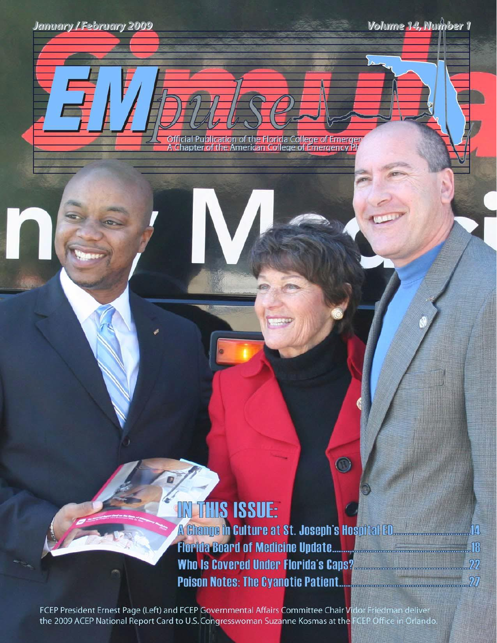Official Pu<mark>blicatio</mark>n of th<mark>e Florid</mark>a College of Emerge<br>A Chapter of the American College of Emergency Ph

## **IN THIS ISSUE:**

A Change in Culture at St. Joseph's Hospital ED. And May 14 Who Is Covered Under Florida's Caps? Manuscription 22 

 $\odot$ 

FCEP President Ernest Page (Left) and FCEP Governmental Affairs Committee Chair Vidor Friedman deliver the 2009 ACEP National Report Card to U.S. Congresswoman Suzanne Kosmas at the FCEP Office in Orlando.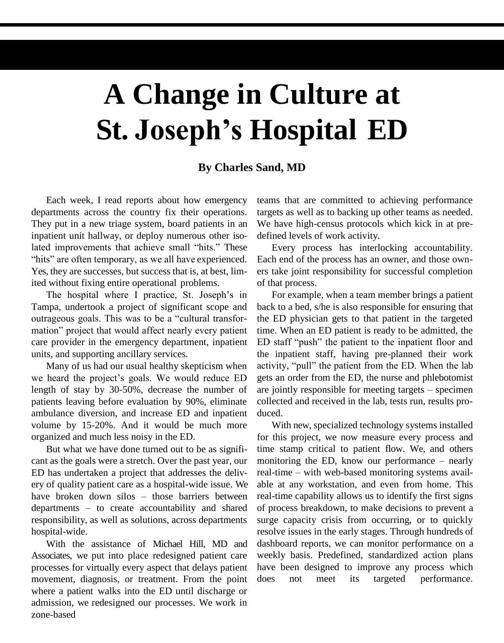## **A Change in Culture at St. Joseph's Hospital ED**

## **By Charles Sand, MD**

Each week, I read reports about how emergency departments across the country fix their operations. They put in a new triage system, board patients in an inpatient unit hallway, or deploy numerous other isolated improvements that achieve small "hits." These "hits" are often temporary, as we all have experienced. Yes, they are successes, but success that is, at best, limited without fixing entire operational problems.

The hospital where I practice, St. Joseph's in Tampa, undertook a project of significant scope and outrageous goals. This was to be a "cultural transformation" project that would affect nearly every patient care provider in the emergency department, inpatient units, and supporting ancillary services.

Many of us had our usual healthy skepticism when we heard the project's goals. We would reduce ED length of stay by 30-50%, decrease the number of patients leaving before evaluation by 90%, eliminate ambulance diversion, and increase ED and inpatient volume by 15-20%. And it would be much more organized and much less noisy in the ED.

But what we have done turned out to be as significant as the goals were a stretch. Over the past year, our ED has undertaken a project that addresses the delivery of quality patient care as a hospital-wide issue. We have broken down silos – those barriers between departments – to create accountability and shared responsibility, as well as solutions, across departments hospital-wide.

With the assistance of Michael Hill, MD and Associates, we put into place redesigned patient care processes for virtually every aspect that delays patient movement, diagnosis, or treatment. From the point where a patient walks into the ED until discharge or admission, we redesigned our processes. We work in zone-based

teams that are committed to achieving performance targets as well as to backing up other teams as needed. We have high-census protocols which kick in at predefined levels of work activity.

Every process has interlocking accountability. Each end of the process has an owner, and those owners take joint responsibility for successful completion of that process.

For example, when a team member brings a patient back to a bed, s/he is also responsible for ensuring that the ED physician gets to that patient in the targeted time. When an ED patient is ready to be admitted, the ED staff "push" the patient to the inpatient floor and the inpatient staff, having pre-planned their work activity, "pull" the patient from the ED. When the lab gets an order from the ED, the nurse and phlebotomist are jointly responsible for meeting targets – specimen collected and received in the lab, tests run, results produced.

With new, specialized technology systems installed for this project, we now measure every process and time stamp critical to patient flow. We, and others monitoring the ED, know our performance – nearly real-time – with web-based monitoring systems available at any workstation, and even from home. This real-time capability allows us to identify the first signs of process breakdown, to make decisions to prevent a surge capacity crisis from occurring, or to quickly resolve issues in the early stages. Through hundreds of dashboard reports, we can monitor performance on a weekly basis. Predefined, standardized action plans have been designed to improve any process which does not meet its targeted performance.